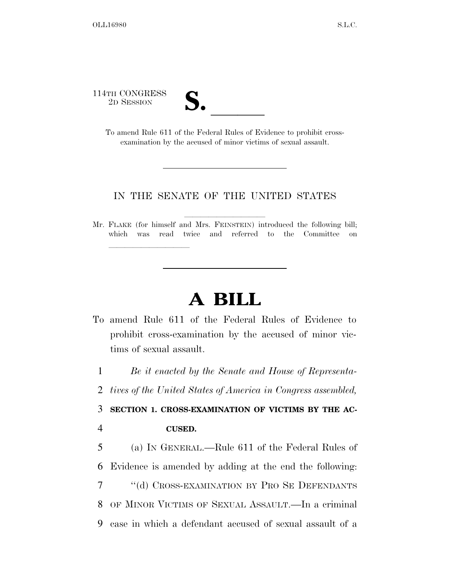114TH CONGRESS

lla se al constituir a la constituir a la constituir a la constituir a la constituir a la constituir a la cons<br>La constituir a la constituir a la constituir a la constituir a la constituir a la constituir a la constituir

TH CONGRESS<br>
2D SESSION<br>
To amend Rule 611 of the Federal Rules of Evidence to prohibit crossexamination by the accused of minor victims of sexual assault.

## IN THE SENATE OF THE UNITED STATES

Mr. FLAKE (for himself and Mrs. FEINSTEIN) introduced the following bill; which was read twice and referred to the Committee on

## **A BILL**

To amend Rule 611 of the Federal Rules of Evidence to prohibit cross-examination by the accused of minor victims of sexual assault.

1 *Be it enacted by the Senate and House of Representa-*

2 *tives of the United States of America in Congress assembled,* 

3 **SECTION 1. CROSS-EXAMINATION OF VICTIMS BY THE AC-**4 **CUSED.** 

 (a) IN GENERAL.—Rule 611 of the Federal Rules of Evidence is amended by adding at the end the following: ''(d) CROSS-EXAMINATION BY PRO SE DEFENDANTS OF MINOR VICTIMS OF SEXUAL ASSAULT.—In a criminal case in which a defendant accused of sexual assault of a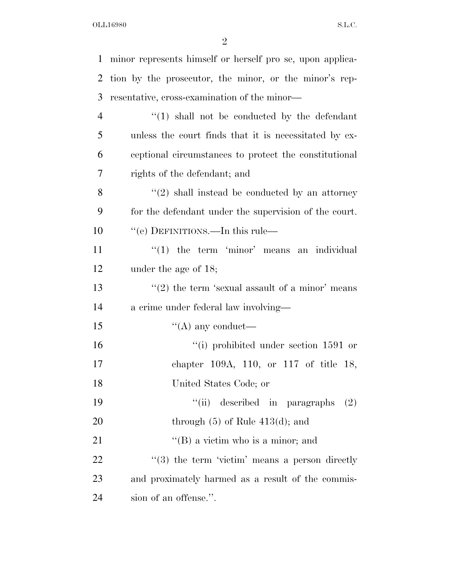OLL16980 S.L.C.

| 1              | minor represents himself or herself pro se, upon applica-       |
|----------------|-----------------------------------------------------------------|
| 2              | tion by the prosecutor, the minor, or the minor's rep-          |
| 3              | resentative, cross-examination of the minor—                    |
| $\overline{4}$ | $\lq(1)$ shall not be conducted by the defendant                |
| 5              | unless the court finds that it is necessitated by ex-           |
| 6              | ceptional circumstances to protect the constitutional           |
| 7              | rights of the defendant; and                                    |
| 8              | $\lq(2)$ shall instead be conducted by an attorney              |
| 9              | for the defendant under the supervision of the court.           |
| 10             | "(e) DEFINITIONS.—In this rule—                                 |
| 11             | $\lq(1)$ the term 'minor' means an individual                   |
| 12             | under the age of $18$ ;                                         |
| 13             | $\cdot\cdot\cdot(2)$ the term 'sexual assault of a minor' means |
| 14             | a crime under federal law involving-                            |
| 15             | $\lq\lq$ any conduct—                                           |
| 16             | "(i) prohibited under section $1591$ or                         |
| 17             | chapter 109A, 110, or 117 of title 18,                          |
| 18             | United States Code; or                                          |
| 19             | "(ii) described in paragraphs<br>(2)                            |
| 20             | through $(5)$ of Rule $413(d)$ ; and                            |
| 21             | $\lq\lq$ (B) a victim who is a minor; and                       |
| 22             | $\lq(3)$ the term 'victim' means a person directly              |
| 23             | and proximately harmed as a result of the commis-               |
| 24             | sion of an offense.".                                           |